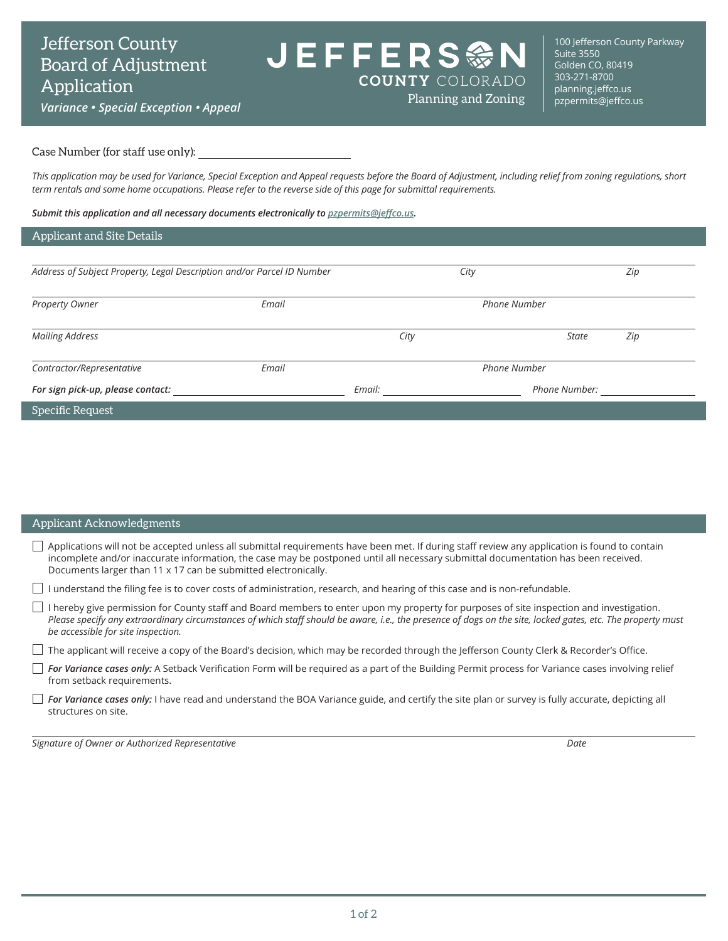**JEFFERS @M COUNTY COLORADO** 

*Variance • Special Exception • Appeal*

100 Jefferson County Parkway Suite 3550 Golden CO, 80419 303-271-8700 [planning.jeffco.us](http://planning.jeffco.us)<br>pzpermits@jeffco.us

#### Case Number (for staff use only):

*This application may be used for Variance, Special Exception and Appeal requests before the Board of Adjustment, including relief from zoning regulations, short term rentals and some home occupations. Please refer to the reverse side of this page for submittal requirements.*

Planning and Zoning

*Submit this application and all necessary documents electronically to [pzpermits@jeffco.us](mailto:pzpermits%40jeffco.us?subject=).*

#### Applicant and Site Details

| Address of Subject Property, Legal Description and/or Parcel ID Number |       |        | City                | Zip           |     |  |
|------------------------------------------------------------------------|-------|--------|---------------------|---------------|-----|--|
| Property Owner                                                         | Email |        | <b>Phone Number</b> |               |     |  |
| <b>Mailing Address</b>                                                 |       | City   |                     | <b>State</b>  | Zip |  |
| Contractor/Representative                                              | Email |        | <b>Phone Number</b> |               |     |  |
| For sign pick-up, please contact:                                      |       | Email: |                     | Phone Number: |     |  |
| Specific Request                                                       |       |        |                     |               |     |  |

| Applicant Acknowledgments                                                                                                                                                                                                                                                                                                                             |
|-------------------------------------------------------------------------------------------------------------------------------------------------------------------------------------------------------------------------------------------------------------------------------------------------------------------------------------------------------|
| Applications will not be accepted unless all submittal requirements have been met. If during staff review any application is found to contain<br>incomplete and/or inaccurate information, the case may be postponed until all necessary submittal documentation has been received.<br>Documents larger than 11 x 17 can be submitted electronically. |
| I understand the filing fee is to cover costs of administration, research, and hearing of this case and is non-refundable.                                                                                                                                                                                                                            |
| I hereby give permission for County staff and Board members to enter upon my property for purposes of site inspection and investigation.<br>Please specify any extraordinary circumstances of which staff should be aware, i.e., the presence of dogs on the site, locked gates, etc. The property must<br>be accessible for site inspection.         |
| The applicant will receive a copy of the Board's decision, which may be recorded through the Jefferson County Clerk & Recorder's Office.                                                                                                                                                                                                              |
| For Variance cases only: A Setback Verification Form will be required as a part of the Building Permit process for Variance cases involving relief<br>from setback requirements.                                                                                                                                                                      |
| For Variance cases only: I have read and understand the BOA Variance guide, and certify the site plan or survey is fully accurate, depicting all<br>structures on site.                                                                                                                                                                               |

*Signature of Owner or Authorized Representative Date*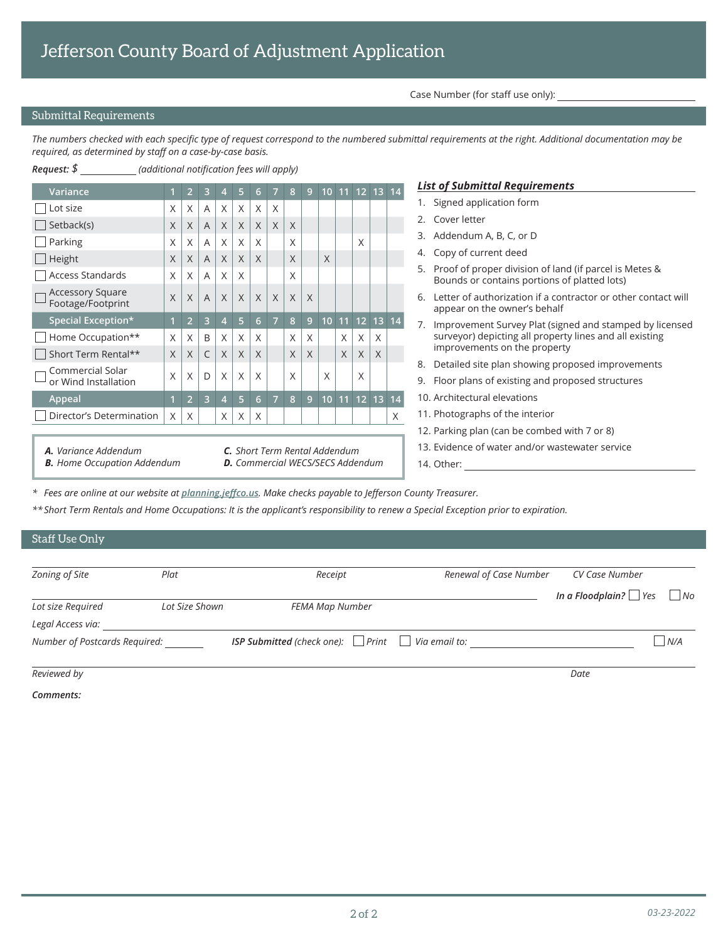Case Number (for staff use only):

14. Other:

## Submittal Requirements

*The numbers checked with each specific type of request correspond to the numbered submittal requirements at the right. Additional documentation may be required, as determined by staff on a case-by-case basis.*

| Request: \$                                                  | (additional notification fees will apply) |                |        |          |          |          |                |   |                |                                                 |          |          |             |   |                                                                                                              |
|--------------------------------------------------------------|-------------------------------------------|----------------|--------|----------|----------|----------|----------------|---|----------------|-------------------------------------------------|----------|----------|-------------|---|--------------------------------------------------------------------------------------------------------------|
| Variance                                                     |                                           |                |        |          |          |          |                |   |                | 10                                              |          |          | 11 12 13 14 |   | <b>List of Submittal Requirements</b>                                                                        |
| Lot size                                                     | Χ                                         | X              | A      | X        | X        | $\times$ | X              |   |                |                                                 |          |          |             |   | 1. Signed application form                                                                                   |
| $ $ Setback(s)                                               | X                                         | X              | A      | X        | X        | $\times$ | X              | X |                |                                                 |          |          |             |   | Cover letter<br>2.                                                                                           |
| Parking                                                      | X                                         | X              | A      | X        | $\times$ | X        |                | X |                |                                                 |          | X        |             |   | 3. Addendum A, B, C, or D                                                                                    |
| $\Box$ Height                                                | X                                         | X              |        | $\times$ | $\times$ | $\times$ |                | X |                | X                                               |          |          |             |   | Copy of current deed<br>4.                                                                                   |
| <b>Access Standards</b>                                      | X                                         | X              | A<br>A | X        | X        |          |                | X |                |                                                 |          |          |             |   | Proof of proper division of land (if parcel is Metes &<br>5.<br>Bounds or contains portions of platted lots) |
| <b>Accessory Square</b><br>Footage/Footprint                 | X                                         | X              | A      | X        | $\times$ | X        | X              | X | $\times$       |                                                 |          |          |             |   | Letter of authorization if a contractor or other contact will<br>appear on the owner's behalf                |
| Special Exception*                                           |                                           | $\overline{2}$ | 3      | 4        | 5        | 6        | $\overline{7}$ | 8 | $\overline{9}$ | 10                                              |          |          | 11 12 13 14 |   | 7. Improvement Survey Plat (signed and stamped by licensed                                                   |
| Home Occupation**                                            | X                                         | X              | B      | X        | $\times$ | $\times$ |                | X | $\times$       |                                                 | X        | $\times$ | X           |   | surveyor) depicting all property lines and all existing                                                      |
| Short Term Rental**                                          | X                                         | X              | C      | X        | $\times$ | $\times$ |                | X | $\times$       |                                                 | $\times$ | $\times$ | $\times$    |   | improvements on the property                                                                                 |
| Commercial Solar                                             |                                           |                |        |          |          |          |                |   |                |                                                 |          |          |             |   | Detailed site plan showing proposed improvements<br>8.                                                       |
| or Wind Installation                                         | X                                         | X              | D      | X        | X        | X        |                | X |                | X                                               |          | X        |             |   | Floor plans of existing and proposed structures<br>9.                                                        |
| Appeal                                                       |                                           | $\overline{2}$ | 3      | 4        | 5        | 6        | $\overline{7}$ | 8 | $\overline{9}$ | 10 <sup>1</sup>                                 |          |          | 11 12 13 14 |   | 10. Architectural elevations                                                                                 |
| Director's Determination                                     | $\times$                                  | $\times$       |        | X        | $\times$ | $\times$ |                |   |                |                                                 |          |          |             | X | 11. Photographs of the interior                                                                              |
|                                                              |                                           |                |        |          |          |          |                |   |                |                                                 |          |          |             |   | 12. Parking plan (can be combed with 7 or 8)                                                                 |
| A. Variance Addendum<br><b>C.</b> Short Term Rental Addendum |                                           |                |        |          |          |          |                |   |                | 13. Evidence of water and/or wastewater service |          |          |             |   |                                                                                                              |

*B. Home Occupation Addendum*

*D. Commercial WECS/SECS Addendum*

*\* Fees are online at [our website](https://planning.jeffco.us) at planning.jeffco.us. Make checks payable to Jefferson County Treasurer.*

*\*\* Short Term Rentals and Home Occupations: It is the applicant's responsibility to renew a Special Exception prior to expiration.*

### Staff Use Only

| Zoning of Site                | Plat           | Receipt                                                             | Renewal of Case Number | CV Case Number              |                |
|-------------------------------|----------------|---------------------------------------------------------------------|------------------------|-----------------------------|----------------|
| Lot size Required             | Lot Size Shown | FEMA Map Number                                                     |                        | In a Floodplain? $\Box$ Yes | $\overline{N}$ |
| Legal Access via:             |                |                                                                     |                        |                             |                |
| Number of Postcards Required: |                | <b>ISP Submitted</b> (check one): $\Box$ Print $\Box$ Via email to: |                        |                             | N/A            |
| Reviewed by                   |                |                                                                     |                        | Date                        |                |

*Comments:*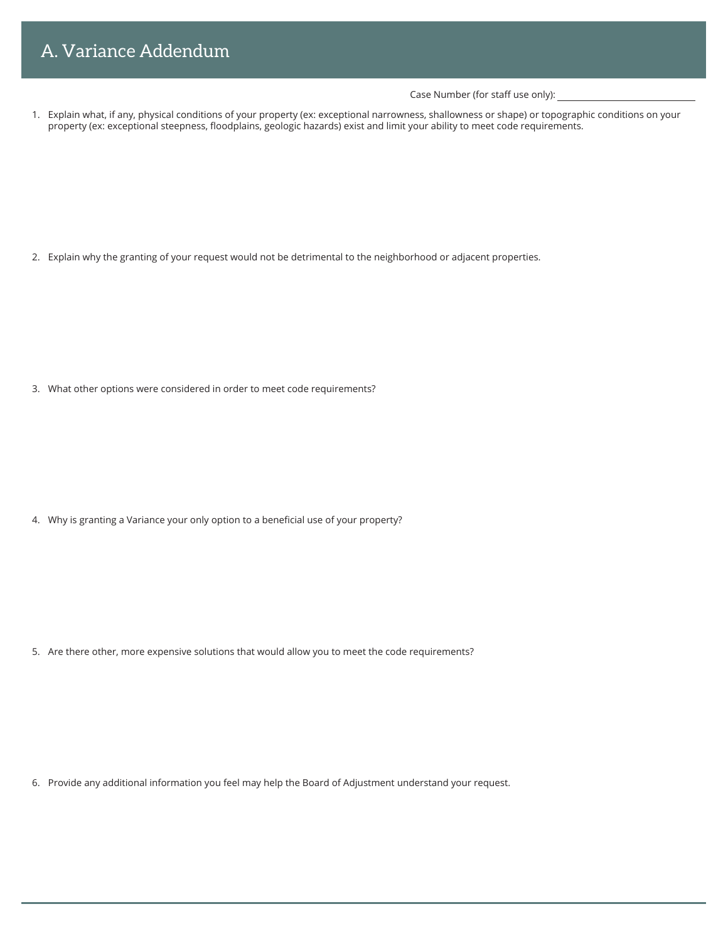Case Number (for staff use only):

1. Explain what, if any, physical conditions of your property (ex: exceptional narrowness, shallowness or shape) or topographic conditions on your property (ex: exceptional steepness, floodplains, geologic hazards) exist and limit your ability to meet code requirements.

2. Explain why the granting of your request would not be detrimental to the neighborhood or adjacent properties.

3. What other options were considered in order to meet code requirements?

4. Why is granting a Variance your only option to a beneficial use of your property?

5. Are there other, more expensive solutions that would allow you to meet the code requirements?

6. Provide any additional information you feel may help the Board of Adjustment understand your request.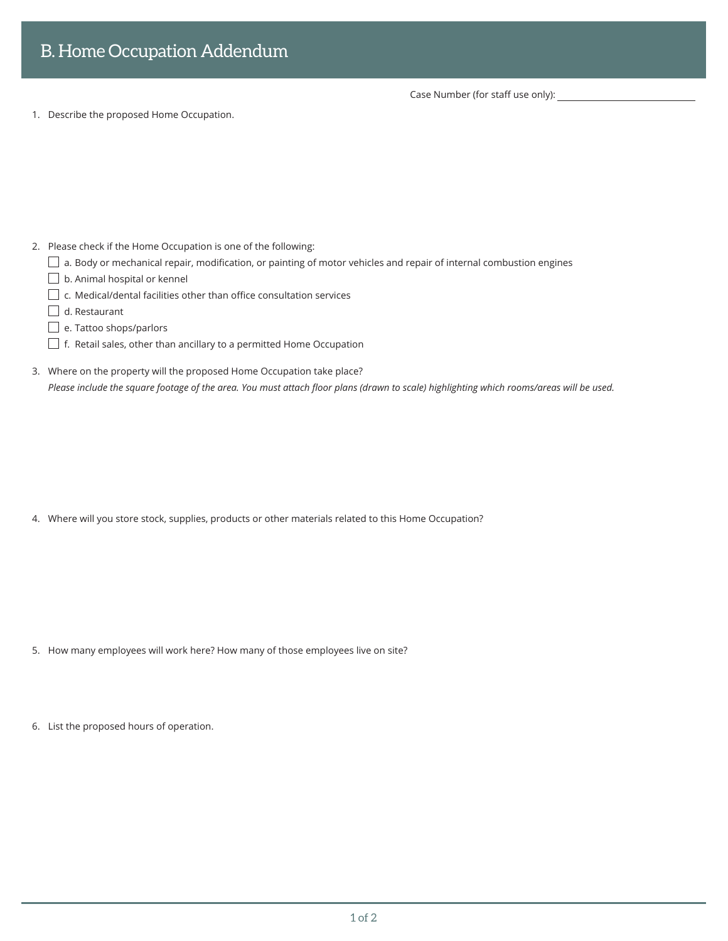Case Number (for staff use only):

1. Describe the proposed Home Occupation.

- 2. Please check if the Home Occupation is one of the following:
	- $\Box$  a. Body or mechanical repair, modification, or painting of motor vehicles and repair of internal combustion engines
	- $\Box$  b. Animal hospital or kennel
	- $\Box$  c. Medical/dental facilities other than office consultation services
	- $\Box$  d. Restaurant
	- e. Tattoo shops/parlors
	- $\Box$  f. Retail sales, other than ancillary to a permitted Home Occupation
- 3. Where on the property will the proposed Home Occupation take place? *Please include the square footage of the area. You must attach floor plans (drawn to scale) highlighting which rooms/areas will be used.*

4. Where will you store stock, supplies, products or other materials related to this Home Occupation?

- 5. How many employees will work here? How many of those employees live on site?
- 6. List the proposed hours of operation.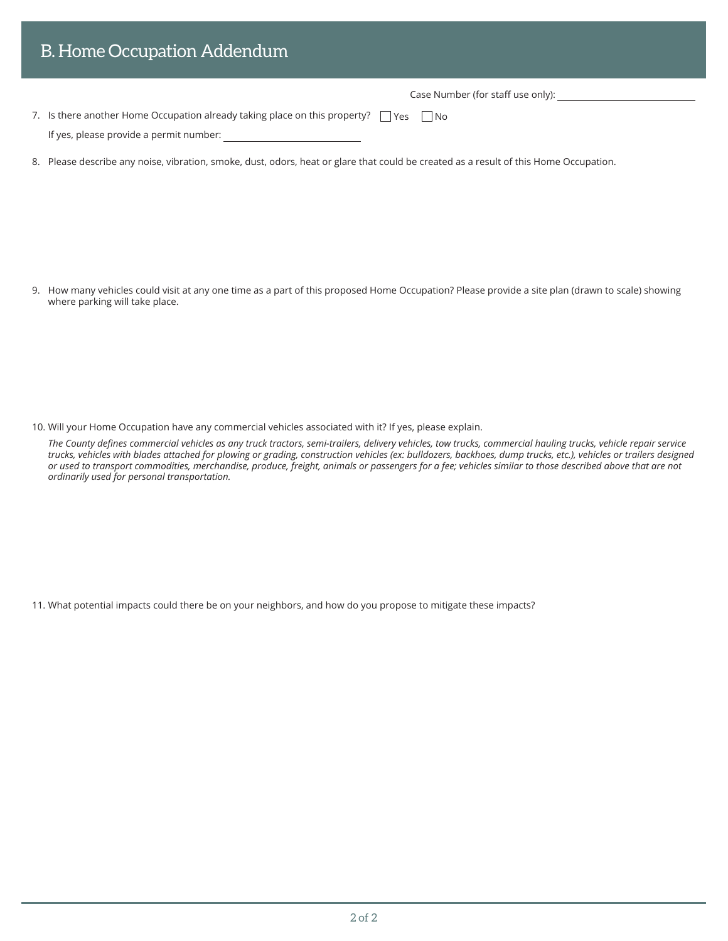| <b>B. Home Occupation Addendum</b>                                                                                                    |
|---------------------------------------------------------------------------------------------------------------------------------------|
| Case Number (for staff use only):                                                                                                     |
| 7. Is there another Home Occupation already taking place on this property? $\Box$ Yes $\Box$ No                                       |
| If yes, please provide a permit number:                                                                                               |
| 8. Please describe any noise, vibration, smoke, dust, odors, heat or glare that could be created as a result of this Home Occupation. |
|                                                                                                                                       |
|                                                                                                                                       |

9. How many vehicles could visit at any one time as a part of this proposed Home Occupation? Please provide a site plan (drawn to scale) showing where parking will take place.

10. Will your Home Occupation have any commercial vehicles associated with it? If yes, please explain.

*The County defines commercial vehicles as any truck tractors, semi-trailers, delivery vehicles, tow trucks, commercial hauling trucks, vehicle repair service trucks, vehicles with blades attached for plowing or grading, construction vehicles (ex: bulldozers, backhoes, dump trucks, etc.), vehicles or trailers designed or used to transport commodities, merchandise, produce, freight, animals or passengers for a fee; vehicles similar to those described above that are not ordinarily used for personal transportation.*

11. What potential impacts could there be on your neighbors, and how do you propose to mitigate these impacts?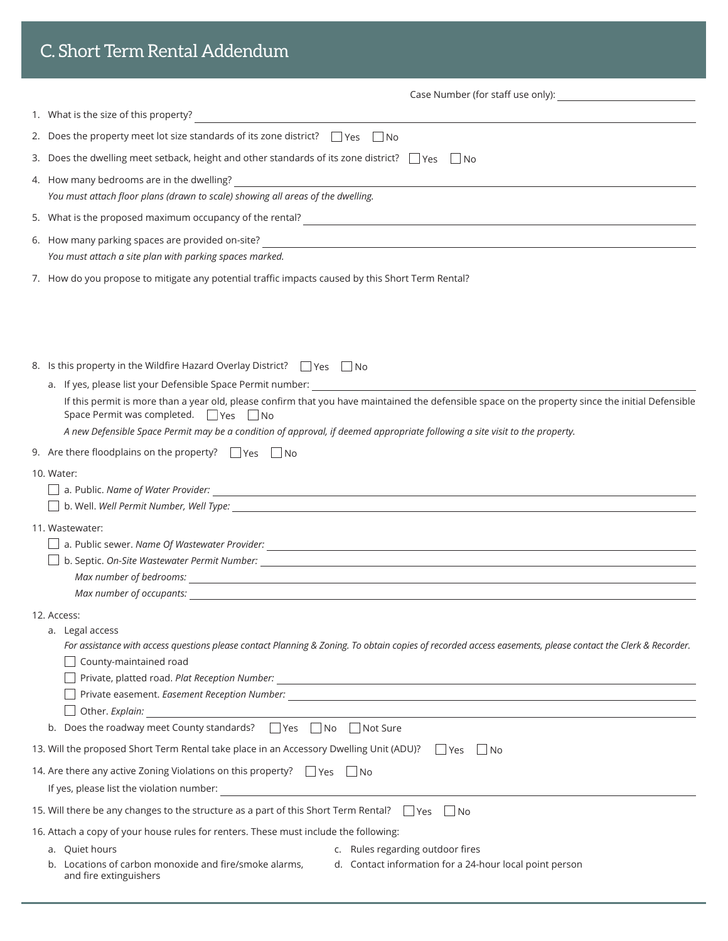| C. Short Term Rental Addendum                                                                                                                                                               |
|---------------------------------------------------------------------------------------------------------------------------------------------------------------------------------------------|
|                                                                                                                                                                                             |
| 1. What is the size of this property?                                                                                                                                                       |
| 2. Does the property meet lot size standards of its zone district? $\Box$ Yes $\Box$ No                                                                                                     |
| 3. Does the dwelling meet setback, height and other standards of its zone district? $\Box$ Yes $\Box$ No                                                                                    |
| You must attach floor plans (drawn to scale) showing all areas of the dwelling.                                                                                                             |
|                                                                                                                                                                                             |
| 6. How many parking spaces are provided on-site?                                                                                                                                            |
| You must attach a site plan with parking spaces marked.                                                                                                                                     |
| 7. How do you propose to mitigate any potential traffic impacts caused by this Short Term Rental?                                                                                           |
|                                                                                                                                                                                             |
| 8. Is this property in the Wildfire Hazard Overlay District? $\Box$ Yes $\Box$ No                                                                                                           |
| If this permit is more than a year old, please confirm that you have maintained the defensible space on the property since the initial Defensible<br>Space Permit was completed. ■ Yes ■ No |
| A new Defensible Space Permit may be a condition of approval, if deemed appropriate following a site visit to the property.                                                                 |
| 9. Are there floodplains on the property? $\Box$ Yes $\Box$ No                                                                                                                              |
| 10. Water:                                                                                                                                                                                  |
| 11. Wastewater:                                                                                                                                                                             |
|                                                                                                                                                                                             |
| □ b. Septic. On-Site Wastewater Permit Number: _________________________________                                                                                                            |
|                                                                                                                                                                                             |
|                                                                                                                                                                                             |
| 12. Access:                                                                                                                                                                                 |
| a. Legal access<br>For assistance with access questions please contact Planning & Zoning. To obtain copies of recorded access easements, please contact the Clerk & Recorder.               |
| County-maintained road                                                                                                                                                                      |
|                                                                                                                                                                                             |
|                                                                                                                                                                                             |
| Other. Explain:<br>b. Does the roadway meet County standards? ■ Yes ■ No ■ Not Sure                                                                                                         |
|                                                                                                                                                                                             |
| 13. Will the proposed Short Term Rental take place in an Accessory Dwelling Unit (ADU)? Thes<br>l INo                                                                                       |
| 14. Are there any active Zoning Violations on this property? Thes Tho                                                                                                                       |
|                                                                                                                                                                                             |
| 15. Will there be any changes to the structure as a part of this Short Term Rental? $\Box$ Yes $\Box$ No                                                                                    |
| 16. Attach a copy of your house rules for renters. These must include the following:<br>a. Quiet hours<br>c. Rules regarding outdoor fires                                                  |
| b. Locations of carbon monoxide and fire/smoke alarms,<br>d. Contact information for a 24-hour local point person<br>and fire extinguishers                                                 |